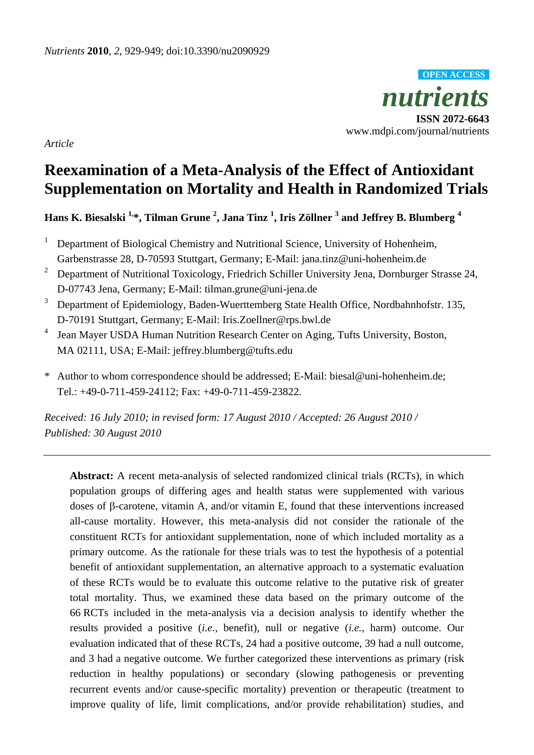

*Article*

# **Reexamination of a Meta-Analysis of the Effect of Antioxidant Supplementation on Mortality and Health in Randomized Trials**

**Hans K. Biesalski 1,\*, Tilman Grune <sup>2</sup> , Jana Tinz <sup>1</sup> , Iris Zöllner <sup>3</sup> and Jeffrey B. Blumberg <sup>4</sup>**

- <sup>1</sup> Department of Biological Chemistry and Nutritional Science, University of Hohenheim, Garbenstrasse 28, D-70593 Stuttgart, Germany; E-Mail: jana.tinz@uni-hohenheim.de
- <sup>2</sup> Department of Nutritional Toxicology, Friedrich Schiller University Jena, Dornburger Strasse 24, D-07743 Jena, Germany; E-Mail: tilman.grune@uni-jena.de
- <sup>3</sup> Department of Epidemiology, Baden-Wuerttemberg State Health Office, Nordbahnhofstr. 135, D-70191 Stuttgart, Germany; E-Mail: Iris.Zoellner@rps.bwl.de
- 4 Jean Mayer USDA Human Nutrition Research Center on Aging, Tufts University, Boston, MA 02111, USA; E-Mail: jeffrey.blumberg@tufts.edu
- \* Author to whom correspondence should be addressed; E-Mail: biesal@uni-hohenheim.de; Tel.: +49-0-711-459-24112; Fax: +49-0-711-459-23822.

*Received: 16 July 2010; in revised form: 17 August 2010 / Accepted: 26 August 2010 / Published: 30 August 2010* 

**Abstract:** A recent meta-analysis of selected randomized clinical trials (RCTs), in which population groups of differing ages and health status were supplemented with various doses of  $\beta$ -carotene, vitamin A, and/or vitamin E, found that these interventions increased all-cause mortality. However, this meta-analysis did not consider the rationale of the constituent RCTs for antioxidant supplementation, none of which included mortality as a primary outcome. As the rationale for these trials was to test the hypothesis of a potential benefit of antioxidant supplementation, an alternative approach to a systematic evaluation of these RCTs would be to evaluate this outcome relative to the putative risk of greater total mortality. Thus, we examined these data based on the primary outcome of the 66 RCTs included in the meta-analysis via a decision analysis to identify whether the results provided a positive (*i.e.*, benefit), null or negative (*i.e.*, harm) outcome. Our evaluation indicated that of these RCTs, 24 had a positive outcome, 39 had a null outcome, and 3 had a negative outcome. We further categorized these interventions as primary (risk reduction in healthy populations) or secondary (slowing pathogenesis or preventing recurrent events and/or cause-specific mortality) prevention or therapeutic (treatment to improve quality of life, limit complications, and/or provide rehabilitation) studies, and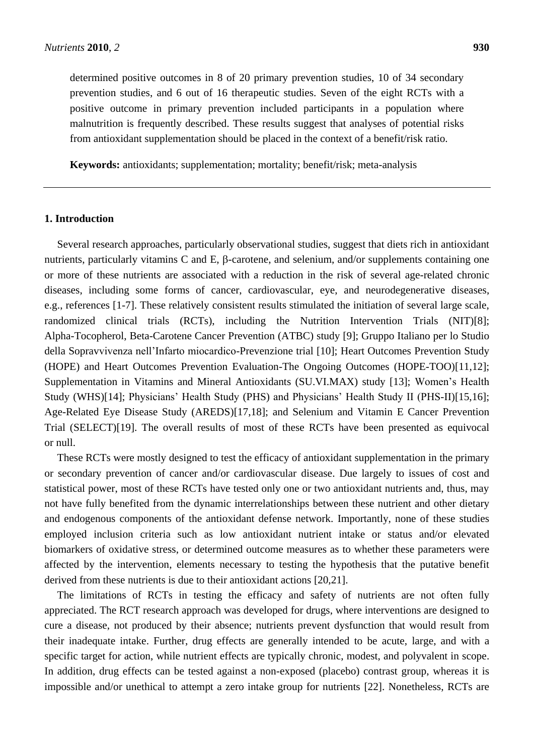determined positive outcomes in 8 of 20 primary prevention studies, 10 of 34 secondary prevention studies, and 6 out of 16 therapeutic studies. Seven of the eight RCTs with a positive outcome in primary prevention included participants in a population where malnutrition is frequently described. These results suggest that analyses of potential risks from antioxidant supplementation should be placed in the context of a benefit/risk ratio.

**Keywords:** antioxidants; supplementation; mortality; benefit/risk; meta-analysis

## **1. Introduction**

Several research approaches, particularly observational studies, suggest that diets rich in antioxidant nutrients, particularly vitamins C and E,  $\beta$ -carotene, and selenium, and/or supplements containing one or more of these nutrients are associated with a reduction in the risk of several age-related chronic diseases, including some forms of cancer, cardiovascular, eye, and neurodegenerative diseases, e.g., references [1-7]. These relatively consistent results stimulated the initiation of several large scale, randomized clinical trials (RCTs), including the Nutrition Intervention Trials (NIT)[8]; Alpha-Tocopherol, Beta-Carotene Cancer Prevention (ATBC) study [9]; Gruppo Italiano per lo Studio della Sopravvivenza nell'Infarto miocardico-Prevenzione trial [10]; Heart Outcomes Prevention Study (HOPE) and Heart Outcomes Prevention Evaluation-The Ongoing Outcomes (HOPE-TOO)[11,12]; Supplementation in Vitamins and Mineral Antioxidants (SU.VI.MAX) study [13]; Women's Health Study (WHS)[14]; Physicians' Health Study (PHS) and Physicians' Health Study II (PHS-II)[15,16]; Age-Related Eye Disease Study (AREDS)[17,18]; and Selenium and Vitamin E Cancer Prevention Trial (SELECT)[19]. The overall results of most of these RCTs have been presented as equivocal or null.

These RCTs were mostly designed to test the efficacy of antioxidant supplementation in the primary or secondary prevention of cancer and/or cardiovascular disease. Due largely to issues of cost and statistical power, most of these RCTs have tested only one or two antioxidant nutrients and, thus, may not have fully benefited from the dynamic interrelationships between these nutrient and other dietary and endogenous components of the antioxidant defense network. Importantly, none of these studies employed inclusion criteria such as low antioxidant nutrient intake or status and/or elevated biomarkers of oxidative stress, or determined outcome measures as to whether these parameters were affected by the intervention, elements necessary to testing the hypothesis that the putative benefit derived from these nutrients is due to their antioxidant actions [20,21].

The limitations of RCTs in testing the efficacy and safety of nutrients are not often fully appreciated. The RCT research approach was developed for drugs, where interventions are designed to cure a disease, not produced by their absence; nutrients prevent dysfunction that would result from their inadequate intake. Further, drug effects are generally intended to be acute, large, and with a specific target for action, while nutrient effects are typically chronic, modest, and polyvalent in scope. In addition, drug effects can be tested against a non-exposed (placebo) contrast group, whereas it is impossible and/or unethical to attempt a zero intake group for nutrients [22]. Nonetheless, RCTs are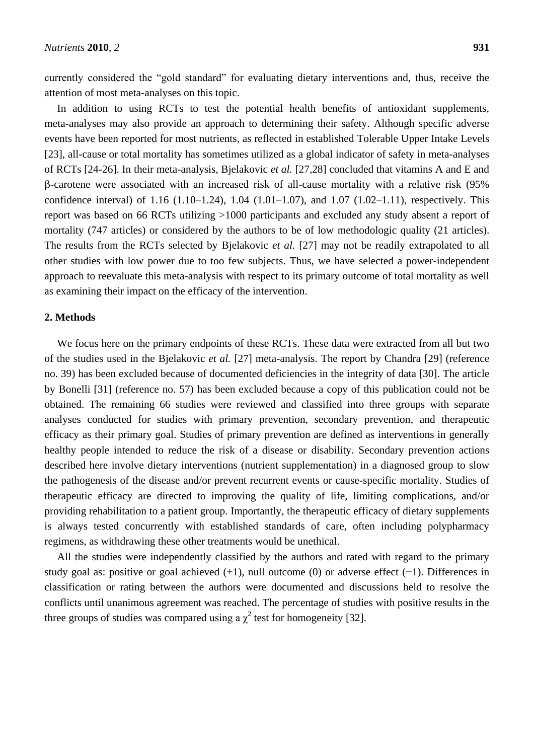currently considered the "gold standard" for evaluating dietary interventions and, thus, receive the attention of most meta-analyses on this topic.

In addition to using RCTs to test the potential health benefits of antioxidant supplements, meta-analyses may also provide an approach to determining their safety. Although specific adverse events have been reported for most nutrients, as reflected in established Tolerable Upper Intake Levels [23], all-cause or total mortality has sometimes utilized as a global indicator of safety in meta-analyses of RCTs [24-26]. In their meta-analysis, Bjelakovic *et al.* [27,28] concluded that vitamins A and E and -carotene were associated with an increased risk of all-cause mortality with a relative risk (95% confidence interval) of 1.16 (1.10–1.24), 1.04 (1.01–1.07), and 1.07 (1.02–1.11), respectively. This report was based on 66 RCTs utilizing >1000 participants and excluded any study absent a report of mortality (747 articles) or considered by the authors to be of low methodologic quality (21 articles). The results from the RCTs selected by Bjelakovic *et al.* [27] may not be readily extrapolated to all other studies with low power due to too few subjects. Thus, we have selected a power-independent approach to reevaluate this meta-analysis with respect to its primary outcome of total mortality as well as examining their impact on the efficacy of the intervention.

## **2. Methods**

We focus here on the primary endpoints of these RCTs. These data were extracted from all but two of the studies used in the Bjelakovic *et al.* [27] meta-analysis. The report by Chandra [29] (reference no. 39) has been excluded because of documented deficiencies in the integrity of data [30]. The article by Bonelli [31] (reference no. 57) has been excluded because a copy of this publication could not be obtained. The remaining 66 studies were reviewed and classified into three groups with separate analyses conducted for studies with primary prevention, secondary prevention, and therapeutic efficacy as their primary goal. Studies of primary prevention are defined as interventions in generally healthy people intended to reduce the risk of a disease or disability. Secondary prevention actions described here involve dietary interventions (nutrient supplementation) in a diagnosed group to slow the pathogenesis of the disease and/or prevent recurrent events or cause-specific mortality. Studies of therapeutic efficacy are directed to improving the quality of life, limiting complications, and/or providing rehabilitation to a patient group. Importantly, the therapeutic efficacy of dietary supplements is always tested concurrently with established standards of care, often including polypharmacy regimens, as withdrawing these other treatments would be unethical.

All the studies were independently classified by the authors and rated with regard to the primary study goal as: positive or goal achieved (+1), null outcome (0) or adverse effect (−1). Differences in classification or rating between the authors were documented and discussions held to resolve the conflicts until unanimous agreement was reached. The percentage of studies with positive results in the three groups of studies was compared using a  $\chi^2$  test for homogeneity [32].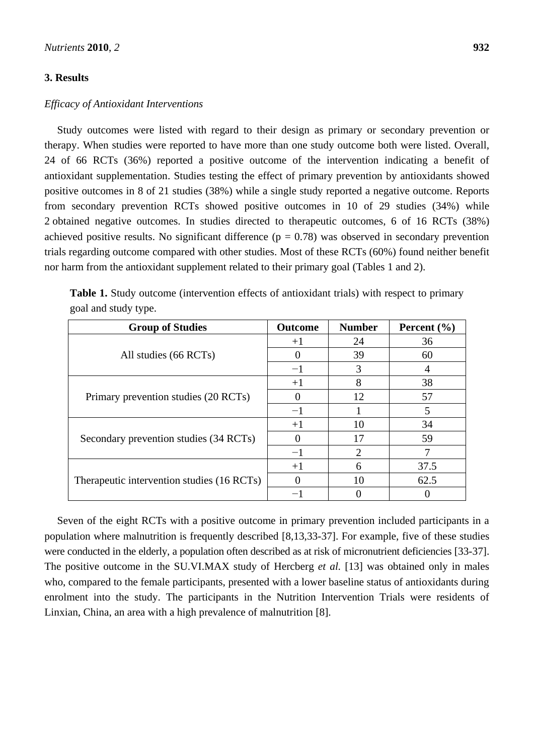# **3. Results**

### *Efficacy of Antioxidant Interventions*

Study outcomes were listed with regard to their design as primary or secondary prevention or therapy. When studies were reported to have more than one study outcome both were listed. Overall, 24 of 66 RCTs (36%) reported a positive outcome of the intervention indicating a benefit of antioxidant supplementation. Studies testing the effect of primary prevention by antioxidants showed positive outcomes in 8 of 21 studies (38%) while a single study reported a negative outcome. Reports from secondary prevention RCTs showed positive outcomes in 10 of 29 studies (34%) while 2 obtained negative outcomes. In studies directed to therapeutic outcomes, 6 of 16 RCTs (38%) achieved positive results. No significant difference ( $p = 0.78$ ) was observed in secondary prevention trials regarding outcome compared with other studies. Most of these RCTs (60%) found neither benefit nor harm from the antioxidant supplement related to their primary goal (Tables 1 and 2).

**Table 1.** Study outcome (intervention effects of antioxidant trials) with respect to primary goal and study type.

| <b>Group of Studies</b>                    | <b>Outcome</b> | <b>Number</b>               | Percent $(\% )$ |
|--------------------------------------------|----------------|-----------------------------|-----------------|
|                                            | $+1$           | 24                          | 36              |
| All studies (66 RCTs)                      |                | 39                          | 60              |
|                                            | -1             | 3                           |                 |
|                                            | $+1$           | 8                           | 38              |
| Primary prevention studies (20 RCTs)       |                | 12                          | 57              |
|                                            | $-1$           |                             | 5               |
|                                            | $+1$           | 10                          | 34              |
| Secondary prevention studies (34 RCTs)     |                | 17                          | 59              |
|                                            | $-1$           | $\mathcal{D}_{\mathcal{A}}$ |                 |
|                                            | $+1$           | 6                           | 37.5            |
| Therapeutic intervention studies (16 RCTs) |                | 10                          | 62.5            |
|                                            |                |                             |                 |

Seven of the eight RCTs with a positive outcome in primary prevention included participants in a population where malnutrition is frequently described [8,13,33-37]. For example, five of these studies were conducted in the elderly, a population often described as at risk of micronutrient deficiencies [33-37]. The positive outcome in the SU.VI.MAX study of Hercberg *et al.* [13] was obtained only in males who, compared to the female participants, presented with a lower baseline status of antioxidants during enrolment into the study. The participants in the Nutrition Intervention Trials were residents of Linxian, China, an area with a high prevalence of malnutrition [8].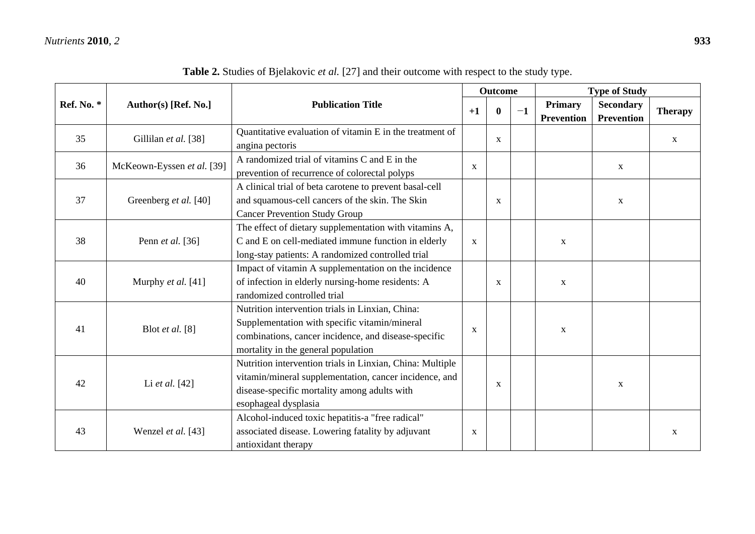|            |                            |                                                                                                                                                                                                  |              | Outcome      |      | <b>Type of Study</b>                |                                       |                |  |
|------------|----------------------------|--------------------------------------------------------------------------------------------------------------------------------------------------------------------------------------------------|--------------|--------------|------|-------------------------------------|---------------------------------------|----------------|--|
| Ref. No. * | Author(s) [Ref. No.]       | <b>Publication Title</b>                                                                                                                                                                         | $+1$         | $\mathbf{0}$ | $-1$ | <b>Primary</b><br><b>Prevention</b> | <b>Secondary</b><br><b>Prevention</b> | <b>Therapy</b> |  |
| 35         | Gillilan et al. [38]       | Quantitative evaluation of vitamin E in the treatment of<br>angina pectoris                                                                                                                      |              | $\mathbf{x}$ |      |                                     |                                       | $\mathbf{X}$   |  |
| 36         | McKeown-Eyssen et al. [39] | A randomized trial of vitamins C and E in the<br>prevention of recurrence of colorectal polyps                                                                                                   | X            |              |      |                                     | X                                     |                |  |
| 37         | Greenberg et al. [40]      | A clinical trial of beta carotene to prevent basal-cell<br>and squamous-cell cancers of the skin. The Skin<br><b>Cancer Prevention Study Group</b>                                               |              | $\mathbf{X}$ |      |                                     | $\mathbf{X}$                          |                |  |
| 38         | Penn et al. [36]           | The effect of dietary supplementation with vitamins A,<br>C and E on cell-mediated immune function in elderly<br>long-stay patients: A randomized controlled trial                               | $\mathbf{X}$ |              |      | $\mathbf{X}$                        |                                       |                |  |
| 40         | Murphy et al. [41]         | Impact of vitamin A supplementation on the incidence<br>of infection in elderly nursing-home residents: A<br>randomized controlled trial                                                         |              | $\mathbf{x}$ |      | $\mathbf{x}$                        |                                       |                |  |
| 41         | Blot et al. $[8]$          | Nutrition intervention trials in Linxian, China:<br>Supplementation with specific vitamin/mineral<br>combinations, cancer incidence, and disease-specific<br>mortality in the general population | $\mathbf{X}$ |              |      | $\mathbf{X}$                        |                                       |                |  |
| 42         | Li et al. $[42]$           | Nutrition intervention trials in Linxian, China: Multiple<br>vitamin/mineral supplementation, cancer incidence, and<br>disease-specific mortality among adults with<br>esophageal dysplasia      |              | $\mathbf X$  |      |                                     | $\mathbf X$                           |                |  |
| 43         | Wenzel et al. [43]         | Alcohol-induced toxic hepatitis-a "free radical"<br>associated disease. Lowering fatality by adjuvant<br>antioxidant therapy                                                                     | X            |              |      |                                     |                                       | $\mathbf X$    |  |

|  |  |  | Table 2. Studies of Bjelakovic et al. [27] and their outcome with respect to the study type. |  |
|--|--|--|----------------------------------------------------------------------------------------------|--|
|--|--|--|----------------------------------------------------------------------------------------------|--|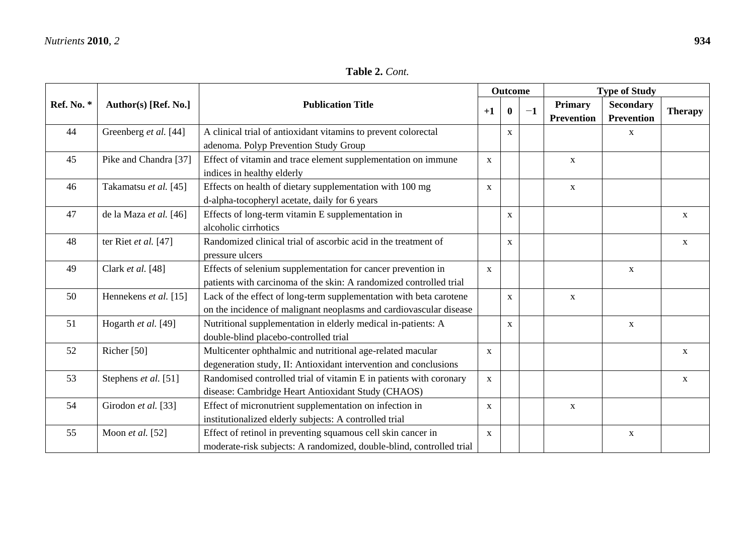|              |                        |                                                                      |              |             | <b>Outcome</b> |                              | <b>Type of Study</b>                  |                |
|--------------|------------------------|----------------------------------------------------------------------|--------------|-------------|----------------|------------------------------|---------------------------------------|----------------|
| $Ref. No. *$ | Author(s) [Ref. No.]   | <b>Publication Title</b>                                             | $+1$         | $\bf{0}$    | $-1$           | Primary<br><b>Prevention</b> | <b>Secondary</b><br><b>Prevention</b> | <b>Therapy</b> |
| 44           | Greenberg et al. [44]  | A clinical trial of antioxidant vitamins to prevent colorectal       |              | $\mathbf X$ |                |                              | $\mathbf X$                           |                |
|              |                        | adenoma. Polyp Prevention Study Group                                |              |             |                |                              |                                       |                |
| 45           | Pike and Chandra [37]  | Effect of vitamin and trace element supplementation on immune        | $\mathbf{X}$ |             |                | $\mathbf X$                  |                                       |                |
|              |                        | indices in healthy elderly                                           |              |             |                |                              |                                       |                |
| 46           | Takamatsu et al. [45]  | Effects on health of dietary supplementation with 100 mg             | $\mathbf{X}$ |             |                | $\mathbf{X}$                 |                                       |                |
|              |                        | d-alpha-tocopheryl acetate, daily for 6 years                        |              |             |                |                              |                                       |                |
| 47           | de la Maza et al. [46] | Effects of long-term vitamin E supplementation in                    |              | $\mathbf X$ |                |                              |                                       | $\mathbf X$    |
|              |                        | alcoholic cirrhotics                                                 |              |             |                |                              |                                       |                |
| 48           | ter Riet et al. [47]   | Randomized clinical trial of ascorbic acid in the treatment of       |              | $\mathbf X$ |                |                              |                                       | $\mathbf X$    |
|              |                        | pressure ulcers                                                      |              |             |                |                              |                                       |                |
| 49           | Clark et al. [48]      | Effects of selenium supplementation for cancer prevention in         | $\mathbf X$  |             |                |                              | $\mathbf{X}$                          |                |
|              |                        | patients with carcinoma of the skin: A randomized controlled trial   |              |             |                |                              |                                       |                |
| 50           | Hennekens et al. [15]  | Lack of the effect of long-term supplementation with beta carotene   |              | $\mathbf X$ |                | $\mathbf X$                  |                                       |                |
|              |                        | on the incidence of malignant neoplasms and cardiovascular disease   |              |             |                |                              |                                       |                |
| 51           | Hogarth et al. [49]    | Nutritional supplementation in elderly medical in-patients: A        |              | $\mathbf X$ |                |                              | $\mathbf{X}$                          |                |
|              |                        | double-blind placebo-controlled trial                                |              |             |                |                              |                                       |                |
| 52           | Richer [50]            | Multicenter ophthalmic and nutritional age-related macular           | X            |             |                |                              |                                       | $\mathbf{X}$   |
|              |                        | degeneration study, II: Antioxidant intervention and conclusions     |              |             |                |                              |                                       |                |
| 53           | Stephens et al. [51]   | Randomised controlled trial of vitamin E in patients with coronary   | $\mathbf{X}$ |             |                |                              |                                       | $\mathbf X$    |
|              |                        | disease: Cambridge Heart Antioxidant Study (CHAOS)                   |              |             |                |                              |                                       |                |
| 54           | Girodon et al. [33]    | Effect of micronutrient supplementation on infection in              | $\mathbf{X}$ |             |                | $\mathbf X$                  |                                       |                |
|              |                        | institutionalized elderly subjects: A controlled trial               |              |             |                |                              |                                       |                |
| 55           | Moon et al. [52]       | Effect of retinol in preventing squamous cell skin cancer in         | $\mathbf X$  |             |                |                              | $\mathbf{X}$                          |                |
|              |                        | moderate-risk subjects: A randomized, double-blind, controlled trial |              |             |                |                              |                                       |                |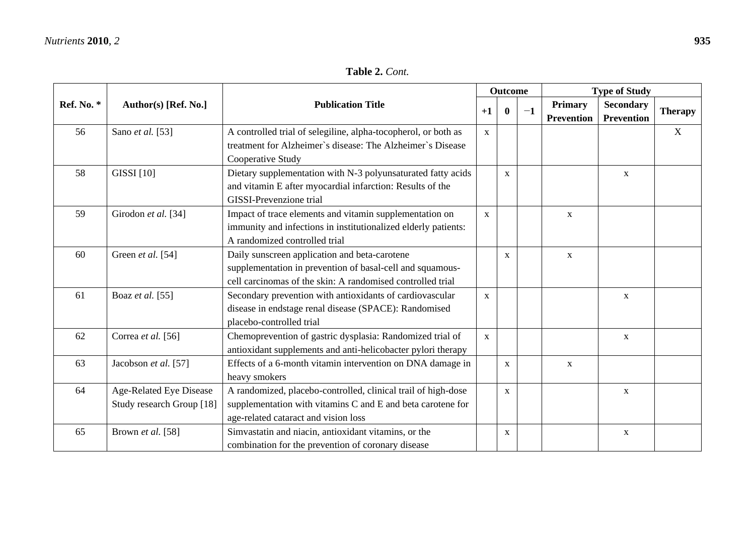|                   |                           |                                                                |              | <b>Outcome</b> |      | <b>Type of Study</b>  |                                       |                |
|-------------------|---------------------------|----------------------------------------------------------------|--------------|----------------|------|-----------------------|---------------------------------------|----------------|
| <b>Ref. No. *</b> | Author(s) [Ref. No.]      | <b>Publication Title</b>                                       | $+1$         | $\bf{0}$       | $-1$ | Primary<br>Prevention | <b>Secondary</b><br><b>Prevention</b> | <b>Therapy</b> |
| 56                | Sano et al. [53]          | A controlled trial of selegiline, alpha-tocopherol, or both as | $\mathbf X$  |                |      |                       |                                       | $\mathbf X$    |
|                   |                           | treatment for Alzheimer's disease: The Alzheimer's Disease     |              |                |      |                       |                                       |                |
|                   |                           | Cooperative Study                                              |              |                |      |                       |                                       |                |
| 58                | <b>GISSI</b> [10]         | Dietary supplementation with N-3 polyunsaturated fatty acids   |              | $\mathbf{X}$   |      |                       | $\mathbf X$                           |                |
|                   |                           | and vitamin E after myocardial infarction: Results of the      |              |                |      |                       |                                       |                |
|                   |                           | <b>GISSI-Prevenzione trial</b>                                 |              |                |      |                       |                                       |                |
| 59                | Girodon et al. [34]       | Impact of trace elements and vitamin supplementation on        | $\mathbf{X}$ |                |      | $\mathbf X$           |                                       |                |
|                   |                           | immunity and infections in institutionalized elderly patients: |              |                |      |                       |                                       |                |
|                   |                           | A randomized controlled trial                                  |              |                |      |                       |                                       |                |
| 60                | Green et al. [54]         | Daily sunscreen application and beta-carotene                  |              | $\mathbf{X}$   |      | $\mathbf X$           |                                       |                |
|                   |                           | supplementation in prevention of basal-cell and squamous-      |              |                |      |                       |                                       |                |
|                   |                           | cell carcinomas of the skin: A randomised controlled trial     |              |                |      |                       |                                       |                |
| 61                | Boaz et al. [55]          | Secondary prevention with antioxidants of cardiovascular       | $\mathbf{X}$ |                |      |                       | $\mathbf X$                           |                |
|                   |                           | disease in endstage renal disease (SPACE): Randomised          |              |                |      |                       |                                       |                |
|                   |                           | placebo-controlled trial                                       |              |                |      |                       |                                       |                |
| 62                | Correa et al. [56]        | Chemoprevention of gastric dysplasia: Randomized trial of      | $\mathbf{X}$ |                |      |                       | $\mathbf X$                           |                |
|                   |                           | antioxidant supplements and anti-helicobacter pylori therapy   |              |                |      |                       |                                       |                |
| 63                | Jacobson et al. [57]      | Effects of a 6-month vitamin intervention on DNA damage in     |              | $\mathbf{X}$   |      | $\mathbf X$           |                                       |                |
|                   |                           | heavy smokers                                                  |              |                |      |                       |                                       |                |
| 64                | Age-Related Eye Disease   | A randomized, placebo-controlled, clinical trail of high-dose  |              | $\mathbf X$    |      |                       | $\mathbf X$                           |                |
|                   | Study research Group [18] | supplementation with vitamins C and E and beta carotene for    |              |                |      |                       |                                       |                |
|                   |                           | age-related cataract and vision loss                           |              |                |      |                       |                                       |                |
| 65                | Brown et al. [58]         | Simvastatin and niacin, antioxidant vitamins, or the           |              | $\mathbf X$    |      |                       | $\mathbf X$                           |                |
|                   |                           | combination for the prevention of coronary disease             |              |                |      |                       |                                       |                |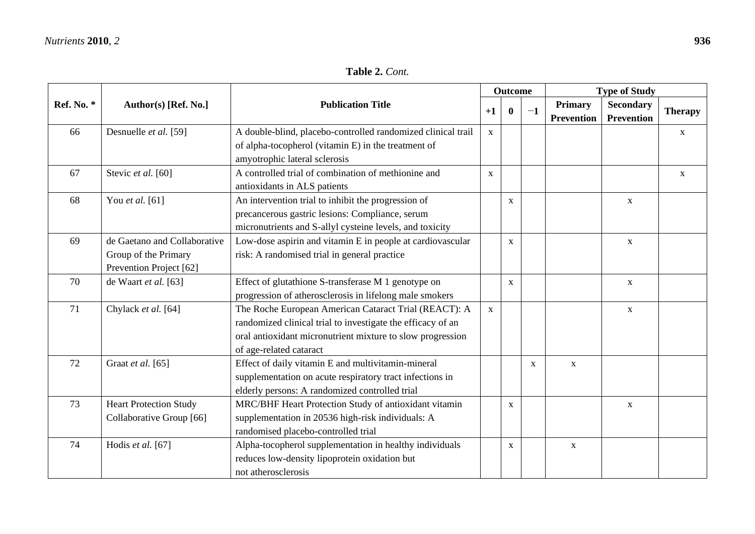|                   | Author(s) [Ref. No.]<br><b>Publication Title</b>                                |                                                                                                                                                                                                               | <b>Outcome</b> |             |                              | <b>Type of Study</b>                  |                |              |  |
|-------------------|---------------------------------------------------------------------------------|---------------------------------------------------------------------------------------------------------------------------------------------------------------------------------------------------------------|----------------|-------------|------------------------------|---------------------------------------|----------------|--------------|--|
| <b>Ref. No. *</b> |                                                                                 | $+1$                                                                                                                                                                                                          | $\mathbf{0}$   | $-1$        | <b>Primary</b><br>Prevention | <b>Secondary</b><br><b>Prevention</b> | <b>Therapy</b> |              |  |
| 66                | Desnuelle et al. [59]                                                           | A double-blind, placebo-controlled randomized clinical trail<br>of alpha-tocopherol (vitamin E) in the treatment of<br>amyotrophic lateral sclerosis                                                          | $\mathbf X$    |             |                              |                                       |                | $\mathbf{X}$ |  |
| 67                | Stevic et al. [60]                                                              | A controlled trial of combination of methionine and<br>antioxidants in ALS patients                                                                                                                           | $\mathbf X$    |             |                              |                                       |                | $\mathbf X$  |  |
| 68                | You et al. [61]                                                                 | An intervention trial to inhibit the progression of<br>precancerous gastric lesions: Compliance, serum<br>micronutrients and S-allyl cysteine levels, and toxicity                                            |                | X           |                              |                                       | X              |              |  |
| 69                | de Gaetano and Collaborative<br>Group of the Primary<br>Prevention Project [62] | Low-dose aspirin and vitamin E in people at cardiovascular<br>risk: A randomised trial in general practice                                                                                                    |                | X           |                              |                                       | $\mathbf{X}$   |              |  |
| 70                | de Waart et al. [63]                                                            | Effect of glutathione S-transferase M 1 genotype on<br>progression of atherosclerosis in lifelong male smokers                                                                                                |                | $\mathbf X$ |                              |                                       | X              |              |  |
| 71                | Chylack et al. [64]                                                             | The Roche European American Cataract Trial (REACT): A<br>randomized clinical trial to investigate the efficacy of an<br>oral antioxidant micronutrient mixture to slow progression<br>of age-related cataract | $\mathbf X$    |             |                              |                                       | $\mathbf X$    |              |  |
| 72                | Graat et al. [65]                                                               | Effect of daily vitamin E and multivitamin-mineral<br>supplementation on acute respiratory tract infections in<br>elderly persons: A randomized controlled trial                                              |                |             | $\mathbf{X}$                 | $\mathbf X$                           |                |              |  |
| 73                | <b>Heart Protection Study</b><br>Collaborative Group [66]                       | MRC/BHF Heart Protection Study of antioxidant vitamin<br>supplementation in 20536 high-risk individuals: A<br>randomised placebo-controlled trial                                                             |                | $\mathbf X$ |                              |                                       | $\mathbf X$    |              |  |
| 74                | Hodis et al. [67]                                                               | Alpha-tocopherol supplementation in healthy individuals<br>reduces low-density lipoprotein oxidation but<br>not atherosclerosis                                                                               |                | $\mathbf X$ |                              | $\mathbf X$                           |                |              |  |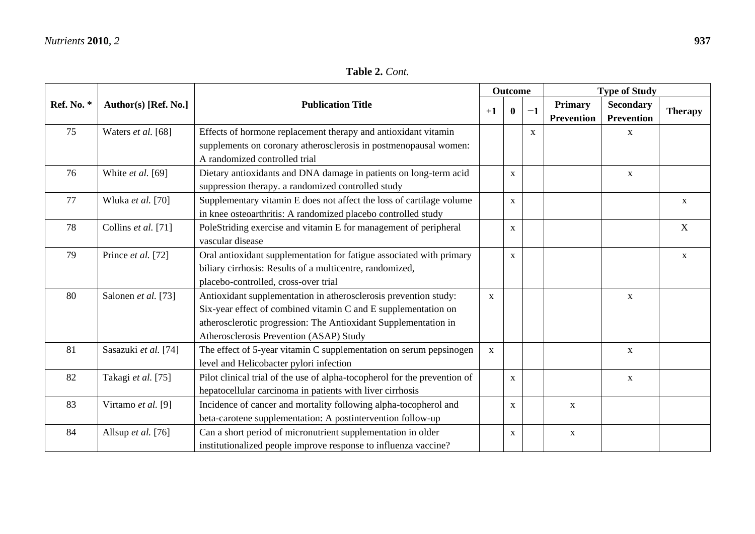|            |                      |                                                                                                                                                                                                                                                  | <b>Outcome</b> |              |             | <b>Type of Study</b>         |                                       |                |  |
|------------|----------------------|--------------------------------------------------------------------------------------------------------------------------------------------------------------------------------------------------------------------------------------------------|----------------|--------------|-------------|------------------------------|---------------------------------------|----------------|--|
| Ref. No. * | Author(s) [Ref. No.] | <b>Publication Title</b>                                                                                                                                                                                                                         | $+1$           | $\mathbf{0}$ | $-1$        | Primary<br><b>Prevention</b> | <b>Secondary</b><br><b>Prevention</b> | <b>Therapy</b> |  |
| 75         | Waters et al. [68]   | Effects of hormone replacement therapy and antioxidant vitamin                                                                                                                                                                                   |                |              | $\mathbf X$ |                              | $\mathbf X$                           |                |  |
|            |                      | supplements on coronary atherosclerosis in postmenopausal women:<br>A randomized controlled trial                                                                                                                                                |                |              |             |                              |                                       |                |  |
| 76         | White et al. [69]    | Dietary antioxidants and DNA damage in patients on long-term acid<br>suppression therapy. a randomized controlled study                                                                                                                          |                | $\mathbf X$  |             |                              | $\mathbf X$                           |                |  |
| 77         | Wluka et al. [70]    | Supplementary vitamin E does not affect the loss of cartilage volume<br>in knee osteoarthritis: A randomized placebo controlled study                                                                                                            |                | $\mathbf X$  |             |                              |                                       | $\mathbf X$    |  |
| 78         | Collins et al. [71]  | PoleStriding exercise and vitamin E for management of peripheral<br>vascular disease                                                                                                                                                             |                | $\mathbf X$  |             |                              |                                       | $\mathbf X$    |  |
| 79         | Prince et al. [72]   | Oral antioxidant supplementation for fatigue associated with primary<br>biliary cirrhosis: Results of a multicentre, randomized,<br>placebo-controlled, cross-over trial                                                                         |                | $\mathbf X$  |             |                              |                                       | $\mathbf{X}$   |  |
| 80         | Salonen et al. [73]  | Antioxidant supplementation in atherosclerosis prevention study:<br>Six-year effect of combined vitamin C and E supplementation on<br>atherosclerotic progression: The Antioxidant Supplementation in<br>Atherosclerosis Prevention (ASAP) Study | $\mathbf{X}$   |              |             |                              | $\mathbf X$                           |                |  |
| 81         | Sasazuki et al. [74] | The effect of 5-year vitamin C supplementation on serum pepsinogen<br>level and Helicobacter pylori infection                                                                                                                                    | $\mathbf{X}$   |              |             |                              | $\mathbf{X}$                          |                |  |
| 82         | Takagi et al. [75]   | Pilot clinical trial of the use of alpha-tocopherol for the prevention of<br>hepatocellular carcinoma in patients with liver cirrhosis                                                                                                           |                | $\mathbf X$  |             |                              | $\mathbf X$                           |                |  |
| 83         | Virtamo et al. [9]   | Incidence of cancer and mortality following alpha-tocopherol and<br>beta-carotene supplementation: A postintervention follow-up                                                                                                                  |                | $\mathbf{X}$ |             | $\mathbf X$                  |                                       |                |  |
| 84         | Allsup et al. [76]   | Can a short period of micronutrient supplementation in older<br>institutionalized people improve response to influenza vaccine?                                                                                                                  |                | $\mathbf X$  |             | $\mathbf X$                  |                                       |                |  |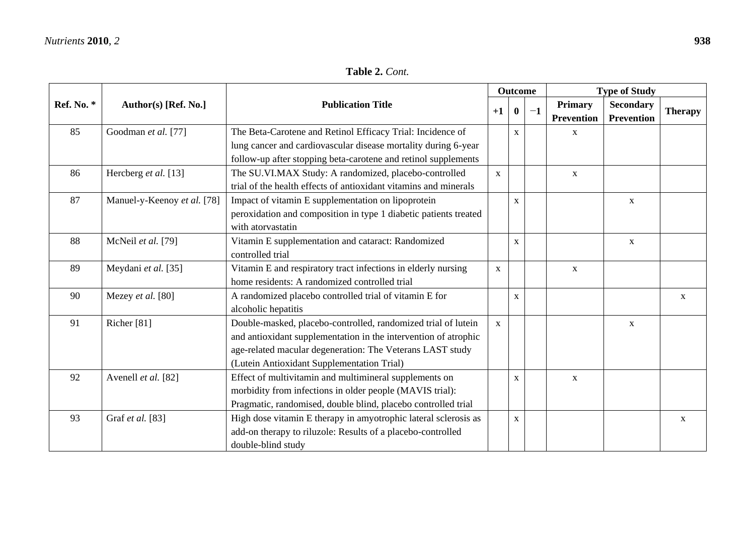|            |                             |                                                                  |              | <b>Outcome</b> |      | <b>Type of Study</b>         |                                       |                |  |
|------------|-----------------------------|------------------------------------------------------------------|--------------|----------------|------|------------------------------|---------------------------------------|----------------|--|
| Ref. No. * | Author(s) [Ref. No.]        | <b>Publication Title</b>                                         | $+1$         | $\bf{0}$       | $-1$ | Primary<br><b>Prevention</b> | <b>Secondary</b><br><b>Prevention</b> | <b>Therapy</b> |  |
| 85         | Goodman et al. [77]         | The Beta-Carotene and Retinol Efficacy Trial: Incidence of       |              | $\mathbf X$    |      | $\mathbf{X}$                 |                                       |                |  |
|            |                             | lung cancer and cardiovascular disease mortality during 6-year   |              |                |      |                              |                                       |                |  |
|            |                             | follow-up after stopping beta-carotene and retinol supplements   |              |                |      |                              |                                       |                |  |
| 86         | Hercberg et al. [13]        | The SU.VI.MAX Study: A randomized, placebo-controlled            | $\mathbf X$  |                |      | $\mathbf X$                  |                                       |                |  |
|            |                             | trial of the health effects of antioxidant vitamins and minerals |              |                |      |                              |                                       |                |  |
| 87         | Manuel-y-Keenoy et al. [78] | Impact of vitamin E supplementation on lipoprotein               |              | $\mathbf X$    |      |                              | $\mathbf X$                           |                |  |
|            |                             | peroxidation and composition in type 1 diabetic patients treated |              |                |      |                              |                                       |                |  |
|            |                             | with atorvastatin                                                |              |                |      |                              |                                       |                |  |
| 88         | McNeil et al. [79]          | Vitamin E supplementation and cataract: Randomized               |              | $\mathbf X$    |      |                              | $\mathbf X$                           |                |  |
|            |                             | controlled trial                                                 |              |                |      |                              |                                       |                |  |
| 89         | Meydani et al. [35]         | Vitamin E and respiratory tract infections in elderly nursing    | $\mathbf{X}$ |                |      | $\mathbf X$                  |                                       |                |  |
|            |                             | home residents: A randomized controlled trial                    |              |                |      |                              |                                       |                |  |
| 90         | Mezey et al. [80]           | A randomized placebo controlled trial of vitamin E for           |              | $\mathbf X$    |      |                              |                                       | X              |  |
|            |                             | alcoholic hepatitis                                              |              |                |      |                              |                                       |                |  |
| 91         | Richer <sup>[81]</sup>      | Double-masked, placebo-controlled, randomized trial of lutein    | $\mathbf{X}$ |                |      |                              | $\mathbf X$                           |                |  |
|            |                             | and antioxidant supplementation in the intervention of atrophic  |              |                |      |                              |                                       |                |  |
|            |                             | age-related macular degeneration: The Veterans LAST study        |              |                |      |                              |                                       |                |  |
|            |                             | (Lutein Antioxidant Supplementation Trial)                       |              |                |      |                              |                                       |                |  |
| 92         | Avenell et al. [82]         | Effect of multivitamin and multimineral supplements on           |              | $\mathbf X$    |      | $\mathbf X$                  |                                       |                |  |
|            |                             | morbidity from infections in older people (MAVIS trial):         |              |                |      |                              |                                       |                |  |
|            |                             | Pragmatic, randomised, double blind, placebo controlled trial    |              |                |      |                              |                                       |                |  |
| 93         | Graf et al. [83]            | High dose vitamin E therapy in amyotrophic lateral sclerosis as  |              | $\mathbf X$    |      |                              |                                       | $\mathbf{X}$   |  |
|            |                             | add-on therapy to riluzole: Results of a placebo-controlled      |              |                |      |                              |                                       |                |  |
|            |                             | double-blind study                                               |              |                |      |                              |                                       |                |  |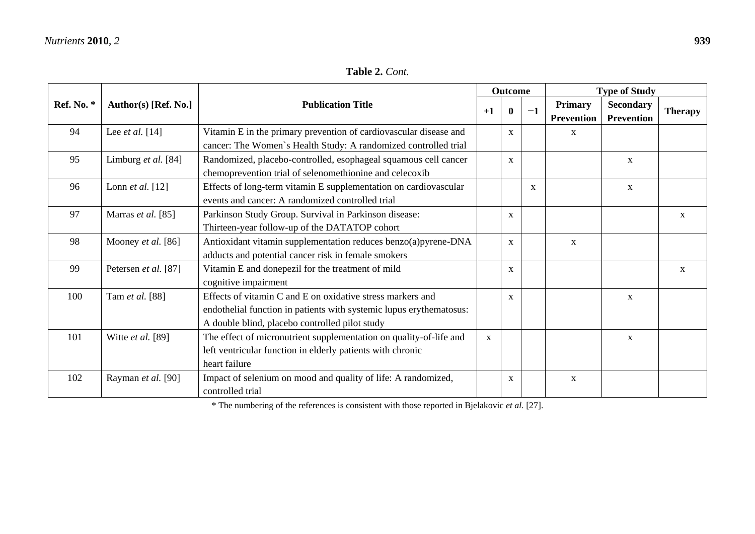|                   |                          |                                                                                                                                                                                     |              | Outcome      |              | <b>Type of Study</b>                |                                       |                |  |
|-------------------|--------------------------|-------------------------------------------------------------------------------------------------------------------------------------------------------------------------------------|--------------|--------------|--------------|-------------------------------------|---------------------------------------|----------------|--|
| <b>Ref. No. *</b> | Author(s) [Ref. No.]     | <b>Publication Title</b>                                                                                                                                                            | $+1$         | $\mathbf 0$  | $-1$         | <b>Primary</b><br><b>Prevention</b> | <b>Secondary</b><br><b>Prevention</b> | <b>Therapy</b> |  |
| 94                | Lee <i>et al.</i> $[14]$ | Vitamin E in the primary prevention of cardiovascular disease and<br>cancer: The Women's Health Study: A randomized controlled trial                                                |              | $\mathbf{X}$ |              | X                                   |                                       |                |  |
| 95                | Limburg et al. [84]      | Randomized, placebo-controlled, esophageal squamous cell cancer<br>chemoprevention trial of selenomethionine and celecoxib                                                          |              | $\mathbf{X}$ |              |                                     | X                                     |                |  |
| 96                | Lonn et al. $[12]$       | Effects of long-term vitamin E supplementation on cardiovascular<br>events and cancer: A randomized controlled trial                                                                |              |              | $\mathbf{X}$ |                                     | $\mathbf{X}$                          |                |  |
| 97                | Marras et al. [85]       | Parkinson Study Group. Survival in Parkinson disease:<br>Thirteen-year follow-up of the DATATOP cohort                                                                              |              | $\mathbf{X}$ |              |                                     |                                       | X              |  |
| 98                | Mooney et al. [86]       | Antioxidant vitamin supplementation reduces benzo(a)pyrene-DNA<br>adducts and potential cancer risk in female smokers                                                               |              | $\mathbf{X}$ |              | $\mathbf{X}$                        |                                       |                |  |
| 99                | Petersen et al. [87]     | Vitamin E and donepezil for the treatment of mild<br>cognitive impairment                                                                                                           |              | X            |              |                                     |                                       | X              |  |
| 100               | Tam et al. [88]          | Effects of vitamin C and E on oxidative stress markers and<br>endothelial function in patients with systemic lupus erythematosus:<br>A double blind, placebo controlled pilot study |              | $\mathbf{X}$ |              |                                     | X                                     |                |  |
| 101               | Witte et al. [89]        | The effect of micronutrient supplementation on quality-of-life and<br>left ventricular function in elderly patients with chronic<br>heart failure                                   | $\mathbf{X}$ |              |              |                                     | $\mathbf{X}$                          |                |  |
| 102               | Rayman et al. [90]       | Impact of selenium on mood and quality of life: A randomized,<br>controlled trial                                                                                                   |              | $\mathbf X$  |              | $\mathbf{X}$                        |                                       |                |  |

\* The numbering of the references is consistent with those reported in Bjelakovic *et al.* [27].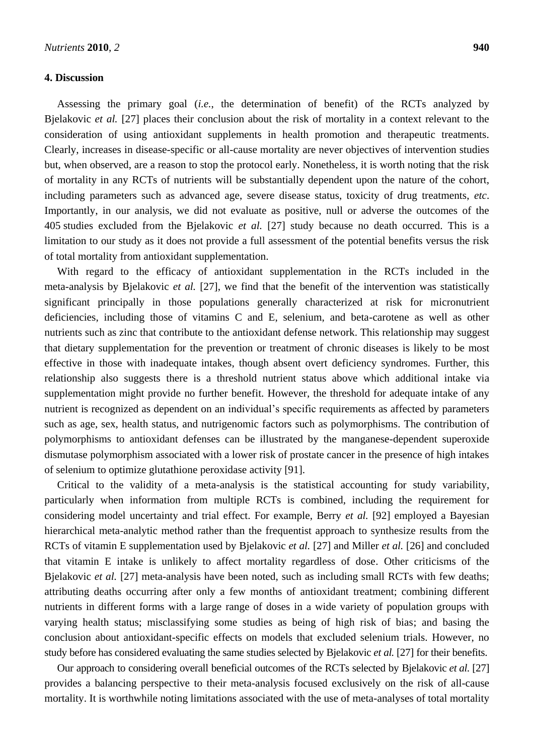## **4. Discussion**

Assessing the primary goal (*i.e.*, the determination of benefit) of the RCTs analyzed by Bjelakovic *et al.* [27] places their conclusion about the risk of mortality in a context relevant to the consideration of using antioxidant supplements in health promotion and therapeutic treatments. Clearly, increases in disease-specific or all-cause mortality are never objectives of intervention studies but, when observed, are a reason to stop the protocol early. Nonetheless, it is worth noting that the risk of mortality in any RCTs of nutrients will be substantially dependent upon the nature of the cohort, including parameters such as advanced age, severe disease status, toxicity of drug treatments, *etc*. Importantly, in our analysis, we did not evaluate as positive, null or adverse the outcomes of the 405 studies excluded from the Bjelakovic *et al.* [27] study because no death occurred. This is a limitation to our study as it does not provide a full assessment of the potential benefits versus the risk of total mortality from antioxidant supplementation.

With regard to the efficacy of antioxidant supplementation in the RCTs included in the meta-analysis by Bjelakovic *et al.* [27], we find that the benefit of the intervention was statistically significant principally in those populations generally characterized at risk for micronutrient deficiencies, including those of vitamins C and E, selenium, and beta-carotene as well as other nutrients such as zinc that contribute to the antioxidant defense network. This relationship may suggest that dietary supplementation for the prevention or treatment of chronic diseases is likely to be most effective in those with inadequate intakes, though absent overt deficiency syndromes. Further, this relationship also suggests there is a threshold nutrient status above which additional intake via supplementation might provide no further benefit. However, the threshold for adequate intake of any nutrient is recognized as dependent on an individual's specific requirements as affected by parameters such as age, sex, health status, and nutrigenomic factors such as polymorphisms. The contribution of polymorphisms to antioxidant defenses can be illustrated by the manganese-dependent superoxide dismutase polymorphism associated with a lower risk of prostate cancer in the presence of high intakes of selenium to optimize glutathione peroxidase activity [91].

Critical to the validity of a meta-analysis is the statistical accounting for study variability, particularly when information from multiple RCTs is combined, including the requirement for considering model uncertainty and trial effect. For example, Berry *et al.* [92] employed a Bayesian hierarchical meta-analytic method rather than the frequentist approach to synthesize results from the RCTs of vitamin E supplementation used by Bjelakovic *et al.* [27] and Miller *et al.* [26] and concluded that vitamin E intake is unlikely to affect mortality regardless of dose. Other criticisms of the Bjelakovic *et al.* [27] meta-analysis have been noted, such as including small RCTs with few deaths; attributing deaths occurring after only a few months of antioxidant treatment; combining different nutrients in different forms with a large range of doses in a wide variety of population groups with varying health status; misclassifying some studies as being of high risk of bias; and basing the conclusion about antioxidant-specific effects on models that excluded selenium trials. However, no study before has considered evaluating the same studies selected by Bjelakovic *et al.* [27] for their benefits.

Our approach to considering overall beneficial outcomes of the RCTs selected by Bjelakovic *et al.* [27] provides a balancing perspective to their meta-analysis focused exclusively on the risk of all-cause mortality. It is worthwhile noting limitations associated with the use of meta-analyses of total mortality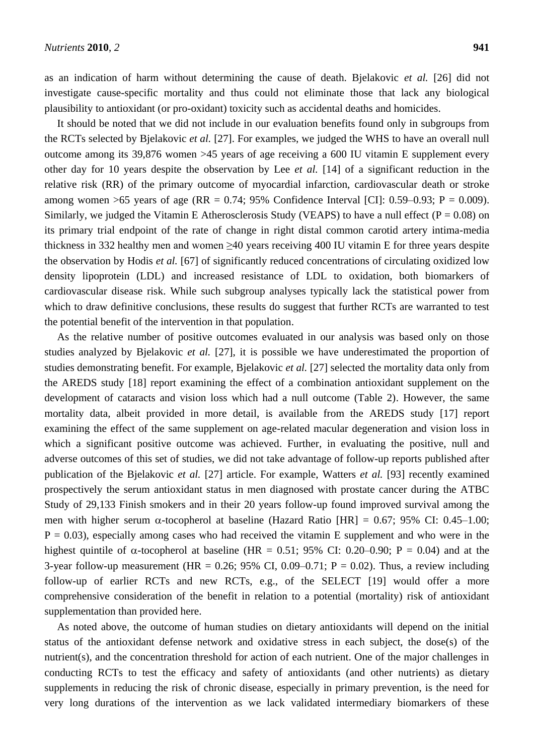as an indication of harm without determining the cause of death. Bjelakovic *et al.* [26] did not investigate cause-specific mortality and thus could not eliminate those that lack any biological plausibility to antioxidant (or pro-oxidant) toxicity such as accidental deaths and homicides.

It should be noted that we did not include in our evaluation benefits found only in subgroups from the RCTs selected by Bjelakovic *et al.* [27]. For examples, we judged the WHS to have an overall null outcome among its 39,876 women >45 years of age receiving a 600 IU vitamin E supplement every other day for 10 years despite the observation by Lee *et al.* [14] of a significant reduction in the relative risk (RR) of the primary outcome of myocardial infarction, cardiovascular death or stroke among women >65 years of age (RR = 0.74; 95% Confidence Interval [CI]: 0.59–0.93; P = 0.009). Similarly, we judged the Vitamin E Atherosclerosis Study (VEAPS) to have a null effect ( $P = 0.08$ ) on its primary trial endpoint of the rate of change in right distal common carotid artery intima-media thickness in 332 healthy men and women  $\geq$ 40 years receiving 400 IU vitamin E for three years despite the observation by Hodis *et al.* [67] of significantly reduced concentrations of circulating oxidized low density lipoprotein (LDL) and increased resistance of LDL to oxidation, both biomarkers of cardiovascular disease risk. While such subgroup analyses typically lack the statistical power from which to draw definitive conclusions, these results do suggest that further RCTs are warranted to test the potential benefit of the intervention in that population.

As the relative number of positive outcomes evaluated in our analysis was based only on those studies analyzed by Bjelakovic *et al.* [27], it is possible we have underestimated the proportion of studies demonstrating benefit. For example, Bjelakovic *et al.* [27] selected the mortality data only from the AREDS study [18] report examining the effect of a combination antioxidant supplement on the development of cataracts and vision loss which had a null outcome (Table 2). However, the same mortality data, albeit provided in more detail, is available from the AREDS study [17] report examining the effect of the same supplement on age-related macular degeneration and vision loss in which a significant positive outcome was achieved. Further, in evaluating the positive, null and adverse outcomes of this set of studies, we did not take advantage of follow-up reports published after publication of the Bjelakovic *et al.* [27] article. For example, Watters *et al.* [93] recently examined prospectively the serum antioxidant status in men diagnosed with prostate cancer during the ATBC Study of 29,133 Finish smokers and in their 20 years follow-up found improved survival among the men with higher serum  $\alpha$ -tocopherol at baseline (Hazard Ratio [HR] = 0.67; 95% CI: 0.45–1.00;  $P = 0.03$ ), especially among cases who had received the vitamin E supplement and who were in the highest quintile of  $\alpha$ -tocopherol at baseline (HR = 0.51; 95% CI: 0.20–0.90; P = 0.04) and at the 3-year follow-up measurement (HR =  $0.26$ ; 95% CI, 0.09–0.71; P = 0.02). Thus, a review including follow-up of earlier RCTs and new RCTs, e.g., of the SELECT [19] would offer a more comprehensive consideration of the benefit in relation to a potential (mortality) risk of antioxidant supplementation than provided here.

As noted above, the outcome of human studies on dietary antioxidants will depend on the initial status of the antioxidant defense network and oxidative stress in each subject, the dose(s) of the nutrient(s), and the concentration threshold for action of each nutrient. One of the major challenges in conducting RCTs to test the efficacy and safety of antioxidants (and other nutrients) as dietary supplements in reducing the risk of chronic disease, especially in primary prevention, is the need for very long durations of the intervention as we lack validated intermediary biomarkers of these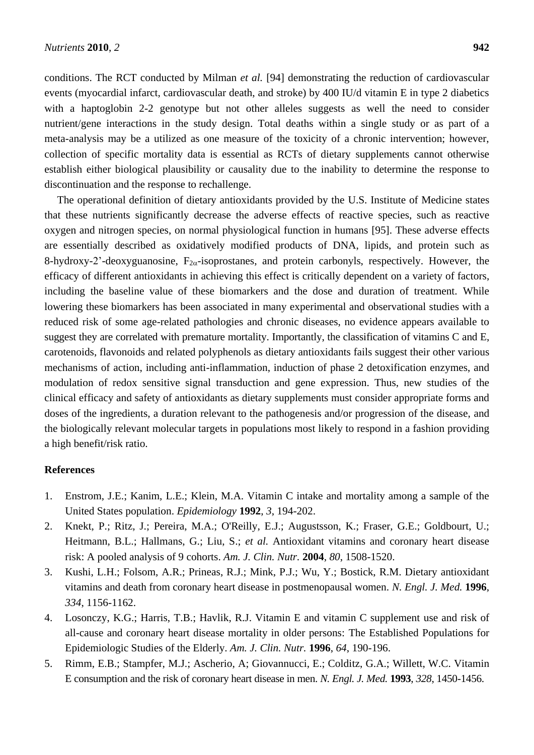conditions. The RCT conducted by Milman *et al.* [94] demonstrating the reduction of cardiovascular events (myocardial infarct, cardiovascular death, and stroke) by 400 IU/d vitamin E in type 2 diabetics with a haptoglobin 2-2 genotype but not other alleles suggests as well the need to consider nutrient/gene interactions in the study design. Total deaths within a single study or as part of a meta-analysis may be a utilized as one measure of the toxicity of a chronic intervention; however, collection of specific mortality data is essential as RCTs of dietary supplements cannot otherwise establish either biological plausibility or causality due to the inability to determine the response to discontinuation and the response to rechallenge.

The operational definition of dietary antioxidants provided by the U.S. Institute of Medicine states that these nutrients significantly decrease the adverse effects of reactive species, such as reactive oxygen and nitrogen species, on normal physiological function in humans [95]. These adverse effects are essentially described as oxidatively modified products of DNA, lipids, and protein such as 8-hydroxy-2'-deoxyguanosine,  $F_{2\alpha}$ -isoprostanes, and protein carbonyls, respectively. However, the efficacy of different antioxidants in achieving this effect is critically dependent on a variety of factors, including the baseline value of these biomarkers and the dose and duration of treatment. While lowering these biomarkers has been associated in many experimental and observational studies with a reduced risk of some age-related pathologies and chronic diseases, no evidence appears available to suggest they are correlated with premature mortality. Importantly, the classification of vitamins C and E, carotenoids, flavonoids and related polyphenols as dietary antioxidants fails suggest their other various mechanisms of action, including anti-inflammation, induction of phase 2 detoxification enzymes, and modulation of redox sensitive signal transduction and gene expression. Thus, new studies of the clinical efficacy and safety of antioxidants as dietary supplements must consider appropriate forms and doses of the ingredients, a duration relevant to the pathogenesis and/or progression of the disease, and the biologically relevant molecular targets in populations most likely to respond in a fashion providing a high benefit/risk ratio.

## **References**

- 1. Enstrom, J.E.; Kanim, L.E.; Klein, M.A. Vitamin C intake and mortality among a sample of the United States population. *Epidemiology* **1992**, *3*, 194-202.
- 2. Knekt, P.; Ritz, J.; Pereira, M.A.; O'Reilly, E.J.; Augustsson, K.; Fraser, G.E.; Goldbourt, U.; Heitmann, B.L.; Hallmans, G.; Liu, S.; *et al.* Antioxidant vitamins and coronary heart disease risk: A pooled analysis of 9 cohorts. *Am. J. Clin. Nutr.* **2004**, *80*, 1508-1520.
- 3. Kushi, L.H.; Folsom, A.R.; Prineas, R.J.; Mink, P.J.; Wu, Y.; Bostick, R.M. Dietary antioxidant vitamins and death from coronary heart disease in postmenopausal women. *N. Engl. J. Med.* **1996**, *334*, 1156-1162.
- 4. Losonczy, K.G.; Harris, T.B.; Havlik, R.J. Vitamin E and vitamin C supplement use and risk of all-cause and coronary heart disease mortality in older persons: The Established Populations for Epidemiologic Studies of the Elderly. *Am. J. Clin. Nutr.* **1996**, *64*, 190-196.
- 5. Rimm, E.B.; Stampfer, M.J.; Ascherio, A; Giovannucci, E.; Colditz, G.A.; Willett, W.C. Vitamin E consumption and the risk of coronary heart disease in men. *N. Engl. J. Med.* **1993**, *328*, 1450-1456.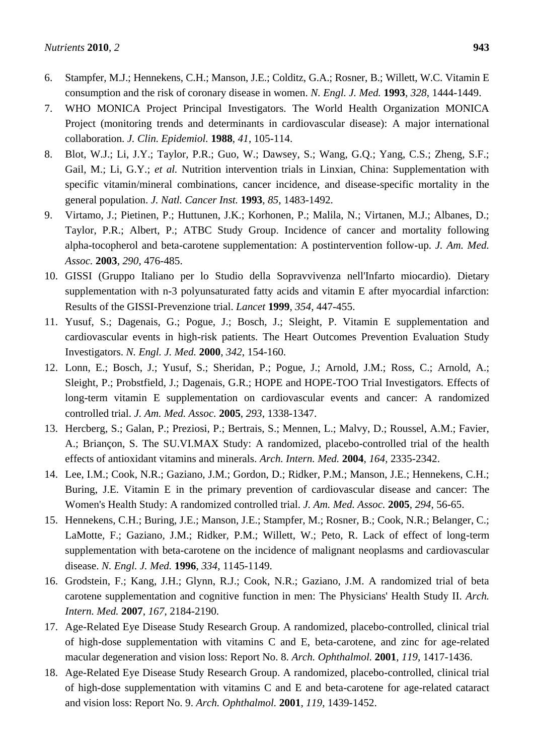- 7. WHO MONICA Project Principal Investigators. The World Health Organization MONICA Project (monitoring trends and determinants in cardiovascular disease): A major international collaboration. *J. Clin. Epidemiol.* **1988**, *41*, 105-114.
- 8. Blot, W.J.; Li, J.Y.; Taylor, P.R.; Guo, W.; Dawsey, S.; Wang, G.Q.; Yang, C.S.; Zheng, S.F.; Gail, M.; Li, G.Y.; *et al.* Nutrition intervention trials in Linxian, China: Supplementation with specific vitamin/mineral combinations, cancer incidence, and disease-specific mortality in the general population. *J. Natl. Cancer Inst.* **1993**, *85*, 1483-1492.
- 9. Virtamo, J.; Pietinen, P.; Huttunen, J.K.; Korhonen, P.; Malila, N.; Virtanen, M.J.; Albanes, D.; Taylor, P.R.; Albert, P.; ATBC Study Group. Incidence of cancer and mortality following alpha-tocopherol and beta-carotene supplementation: A postintervention follow-up. *J. Am. Med. Assoc.* **2003**, *290*, 476-485.
- 10. GISSI (Gruppo Italiano per lo Studio della Sopravvivenza nell'Infarto miocardio). Dietary supplementation with n-3 polyunsaturated fatty acids and vitamin E after myocardial infarction: Results of the GISSI-Prevenzione trial. *Lancet* **1999**, *354*, 447-455.
- 11. Yusuf, S.; Dagenais, G.; Pogue, J.; Bosch, J.; Sleight, P. Vitamin E supplementation and cardiovascular events in high-risk patients. The Heart Outcomes Prevention Evaluation Study Investigators. *N. Engl. J. Med.* **2000**, *342*, 154-160.
- 12. Lonn, E.; Bosch, J.; Yusuf, S.; Sheridan, P.; Pogue, J.; Arnold, J.M.; Ross, C.; Arnold, A.; Sleight, P.; Probstfield, J.; Dagenais, G.R.; HOPE and HOPE-TOO Trial Investigators*.* Effects of long-term vitamin E supplementation on cardiovascular events and cancer: A randomized controlled trial. *J. Am. Med. Assoc.* **2005**, *293*, 1338-1347.
- 13. Hercberg, S.; Galan, P.; Preziosi, P.; Bertrais, S.; Mennen, L.; Malvy, D.; Roussel, A.M.; Favier, A.; Brian con, S. The SU.VI.MAX Study: A randomized, placebo-controlled trial of the health effects of antioxidant vitamins and minerals. *Arch. Intern. Med.* **2004**, *164*, 2335-2342.
- 14. Lee, I.M.; Cook, N.R.; Gaziano, J.M.; Gordon, D.; Ridker, P.M.; Manson, J.E.; Hennekens, C.H.; Buring, J.E. Vitamin E in the primary prevention of cardiovascular disease and cancer: The Women's Health Study: A randomized controlled trial. *J. Am. Med. Assoc.* **2005**, *294*, 56-65.
- 15. Hennekens, C.H.; Buring, J.E.; Manson, J.E.; Stampfer, M.; Rosner, B.; Cook, N.R.; Belanger, C.; LaMotte, F.; Gaziano, J.M.; Ridker, P.M.; Willett, W.; Peto, R. Lack of effect of long-term supplementation with beta-carotene on the incidence of malignant neoplasms and cardiovascular disease. *N. Engl. J. Med.* **1996**, *334*, 1145-1149.
- 16. Grodstein, F.; Kang, J.H.; Glynn, R.J.; Cook, N.R.; Gaziano, J.M. A randomized trial of beta carotene supplementation and cognitive function in men: The Physicians' Health Study II. *Arch. Intern. Med.* **2007**, *167*, 2184-2190.
- 17. Age-Related Eye Disease Study Research Group. A randomized, placebo-controlled, clinical trial of high-dose supplementation with vitamins C and E, beta-carotene, and zinc for age-related macular degeneration and vision loss: Report No. 8. *Arch. Ophthalmol.* **2001**, *119*, 1417-1436.
- 18. Age-Related Eye Disease Study Research Group. A randomized, placebo-controlled, clinical trial of high-dose supplementation with vitamins C and E and beta-carotene for age-related cataract and vision loss: Report No. 9. *Arch. Ophthalmol.* **2001**, *119*, 1439-1452.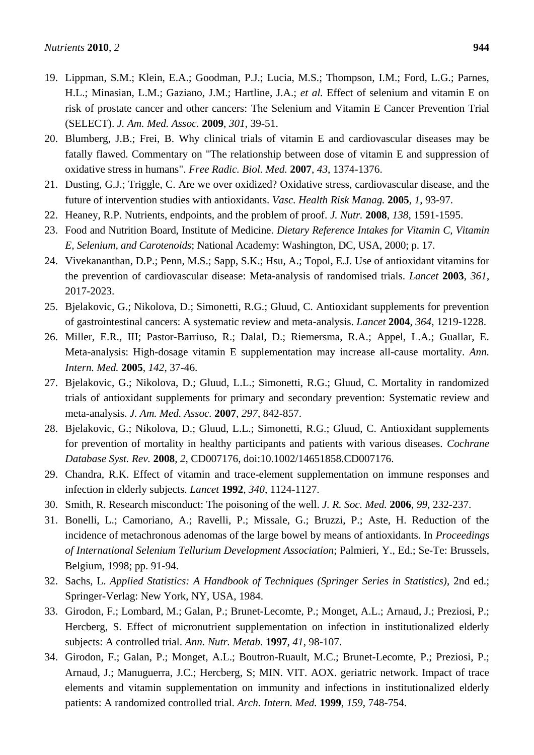- 19. Lippman, S.M.; Klein, E.A.; Goodman, P.J.; Lucia, M.S.; Thompson, I.M.; Ford, L.G.; Parnes, H.L.; Minasian, L.M.; Gaziano, J.M.; Hartline, J.A.; *et al.* Effect of selenium and vitamin E on risk of prostate cancer and other cancers: The Selenium and Vitamin E Cancer Prevention Trial (SELECT). *J. Am. Med. Assoc.* **2009**, *301*, 39-51.
- 20. Blumberg, J.B.; Frei, B. Why clinical trials of vitamin E and cardiovascular diseases may be fatally flawed. Commentary on "The relationship between dose of vitamin E and suppression of oxidative stress in humans". *Free Radic. Biol. Med.* **2007**, *43*, 1374-1376.
- 21. Dusting, G.J.; Triggle, C. Are we over oxidized? Oxidative stress, cardiovascular disease, and the future of intervention studies with antioxidants. *Vasc. Health Risk Manag.* **2005**, *1*, 93-97.
- 22. Heaney, R.P. Nutrients, endpoints, and the problem of proof. *J. Nutr.* **2008**, *138*, 1591-1595.
- 23. Food and Nutrition Board, Institute of Medicine. *Dietary Reference Intakes for Vitamin C, Vitamin E, Selenium, and Carotenoids*; National Academy: Washington, DC, USA, 2000; p. 17.
- 24. Vivekananthan, D.P.; Penn, M.S.; Sapp, S.K.; Hsu, A.; Topol, E.J. Use of antioxidant vitamins for the prevention of cardiovascular disease: Meta-analysis of randomised trials. *Lancet* **2003**, *361*, 2017-2023.
- 25. Bjelakovic, G.; Nikolova, D.; Simonetti, R.G.; Gluud, C. Antioxidant supplements for prevention of gastrointestinal cancers: A systematic review and meta-analysis. *Lancet* **2004**, *364*, 1219-1228.
- 26. Miller, E.R., III; Pastor-Barriuso, R.; Dalal, D.; Riemersma, R.A.; Appel, L.A.; Guallar, E. Meta-analysis: High-dosage vitamin E supplementation may increase all-cause mortality. *Ann. Intern. Med.* **2005**, *142*, 37-46.
- 27. Bjelakovic, G.; Nikolova, D.; Gluud, L.L.; Simonetti, R.G.; Gluud, C. Mortality in randomized trials of antioxidant supplements for primary and secondary prevention: Systematic review and meta-analysis. *J. Am. Med. Assoc.* **2007**, *297*, 842-857.
- 28. Bjelakovic, G.; Nikolova, D.; Gluud, L.L.; Simonetti, R.G.; Gluud, C. Antioxidant supplements for prevention of mortality in healthy participants and patients with various diseases. *Cochrane Database Syst. Rev.* **2008**, *2*, CD007176, doi:10.1002/14651858.CD007176.
- 29. Chandra, R.K. Effect of vitamin and trace-element supplementation on immune responses and infection in elderly subjects. *Lancet* **1992**, *340*, 1124-1127.
- 30. Smith, R. Research misconduct: The poisoning of the well. *J. R. Soc. Med.* **2006**, *99*, 232-237.
- 31. Bonelli, L.; Camoriano, A.; Ravelli, P.; Missale, G.; Bruzzi, P.; Aste, H. Reduction of the incidence of metachronous adenomas of the large bowel by means of antioxidants. In *Proceedings of International Selenium Tellurium Development Association*; Palmieri, Y., Ed.; Se-Te: Brussels, Belgium, 1998; pp. 91-94.
- 32. Sachs, L. *Applied Statistics: A Handbook of Techniques (Springer Series in Statistics)*, 2nd ed.; Springer-Verlag: New York, NY, USA, 1984.
- 33. Girodon, F.; Lombard, M.; Galan, P.; Brunet-Lecomte, P.; Monget, A.L.; Arnaud, J.; Preziosi, P.; Hercberg, S. Effect of micronutrient supplementation on infection in institutionalized elderly subjects: A controlled trial. *Ann. Nutr. Metab.* **1997**, *41*, 98-107.
- 34. Girodon, F.; Galan, P.; Monget, A.L.; Boutron-Ruault, M.C.; Brunet-Lecomte, P.; Preziosi, P.; Arnaud, J.; Manuguerra, J.C.; Hercberg, S; MIN. VIT. AOX. geriatric network. Impact of trace elements and vitamin supplementation on immunity and infections in institutionalized elderly patients: A randomized controlled trial. *Arch. Intern. Med.* **1999**, *159*, 748-754.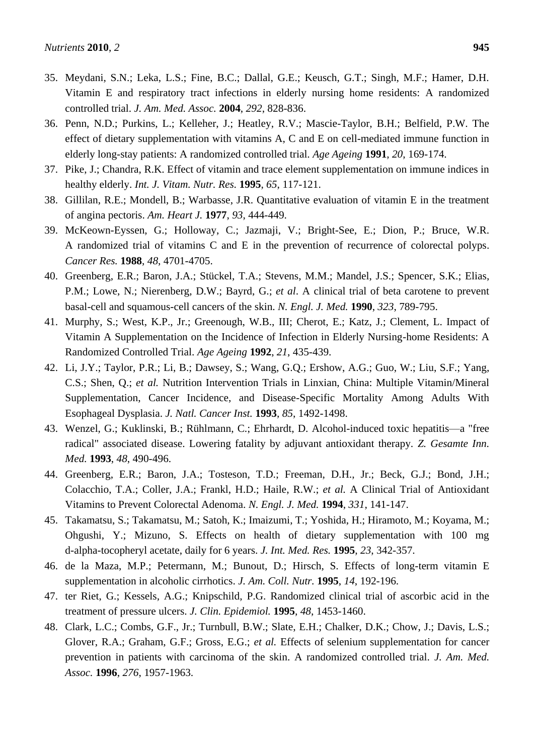- controlled trial. *J. Am. Med. Assoc.* **2004**, *292*, 828-836. 36. Penn, N.D.; Purkins, L.; Kelleher, J.; Heatley, R.V.; Mascie-Taylor, B.H.; Belfield, P.W. The effect of dietary supplementation with vitamins A, C and E on cell-mediated immune function in elderly long-stay patients: A randomized controlled trial. *Age Ageing* **1991**, *20*, 169-174.
- 37. Pike, J.; Chandra, R.K. Effect of vitamin and trace element supplementation on immune indices in healthy elderly. *Int. J. Vitam. Nutr. Res.* **1995**, *65*, 117-121.
- 38. Gillilan, R.E.; Mondell, B.; Warbasse, J.R. Quantitative evaluation of vitamin E in the treatment of angina pectoris. *Am. Heart J.* **1977**, *93*, 444-449.
- 39. McKeown-Eyssen, G.; Holloway, C.; Jazmaji, V.; Bright-See, E.; Dion, P.; Bruce, W.R. A randomized trial of vitamins C and E in the prevention of recurrence of colorectal polyps. *Cancer Res.* **1988**, *48*, 4701-4705.
- 40. Greenberg, E.R.; Baron, J.A.; Stückel, T.A.; Stevens, M.M.; Mandel, J.S.; Spencer, S.K.; Elias, P.M.; Lowe, N.; Nierenberg, D.W.; Bayrd, G.; *et al*. A clinical trial of beta carotene to prevent basal-cell and squamous-cell cancers of the skin. *N. Engl. J. Med.* **1990**, *323*, 789-795.
- 41. Murphy, S.; West, K.P., Jr.; Greenough, W.B., III; Cherot, E.; Katz, J.; Clement, L. Impact of Vitamin A Supplementation on the Incidence of Infection in Elderly Nursing-home Residents: A Randomized Controlled Trial. *Age Ageing* **1992**, *21*, 435-439.
- 42. Li, J.Y.; Taylor, P.R.; Li, B.; Dawsey, S.; Wang, G.Q.; Ershow, A.G.; Guo, W.; Liu, S.F.; Yang, C.S.; Shen, Q.; *et al.* Nutrition Intervention Trials in Linxian, China: Multiple Vitamin/Mineral Supplementation, Cancer Incidence, and Disease-Specific Mortality Among Adults With Esophageal Dysplasia. *J. Natl. Cancer Inst.* **1993**, *85*, 1492-1498.
- 43. Wenzel, G.; Kuklinski, B.; Rühlmann, C.; Ehrhardt, D. Alcohol-induced toxic hepatitis—a "free radical" associated disease. Lowering fatality by adjuvant antioxidant therapy. *Z. Gesamte Inn. Med.* **1993**, *48*, 490-496.
- 44. Greenberg, E.R.; Baron, J.A.; Tosteson, T.D.; Freeman, D.H., Jr.; Beck, G.J.; Bond, J.H.; Colacchio, T.A.; Coller, J.A.; Frankl, H.D.; Haile, R.W.; *et al.* A Clinical Trial of Antioxidant Vitamins to Prevent Colorectal Adenoma. *N. Engl. J. Med.* **1994**, *331*, 141-147.
- 45. Takamatsu, S.; Takamatsu, M.; Satoh, K.; Imaizumi, T.; Yoshida, H.; Hiramoto, M.; Koyama, M.; Ohgushi, Y.; Mizuno, S. Effects on health of dietary supplementation with 100 mg d-alpha-tocopheryl acetate, daily for 6 years. *J. Int. Med. Res.* **1995**, *23*, 342-357.
- 46. de la Maza, M.P.; Petermann, M.; Bunout, D.; Hirsch, S. Effects of long-term vitamin E supplementation in alcoholic cirrhotics. *J. Am. Coll. Nutr.* **1995**, *14*, 192-196.
- 47. ter Riet, G.; Kessels, A.G.; Knipschild, P.G. Randomized clinical trial of ascorbic acid in the treatment of pressure ulcers. *J. Clin. Epidemiol.* **1995**, *48*, 1453-1460.
- 48. Clark, L.C.; Combs, G.F., Jr.; Turnbull, B.W.; Slate, E.H.; Chalker, D.K.; Chow, J.; Davis, L.S.; Glover, R.A.; Graham, G.F.; Gross, E.G.; *et al.* Effects of selenium supplementation for cancer prevention in patients with carcinoma of the skin. A randomized controlled trial. *J. Am. Med. Assoc.* **1996**, *276*, 1957-1963.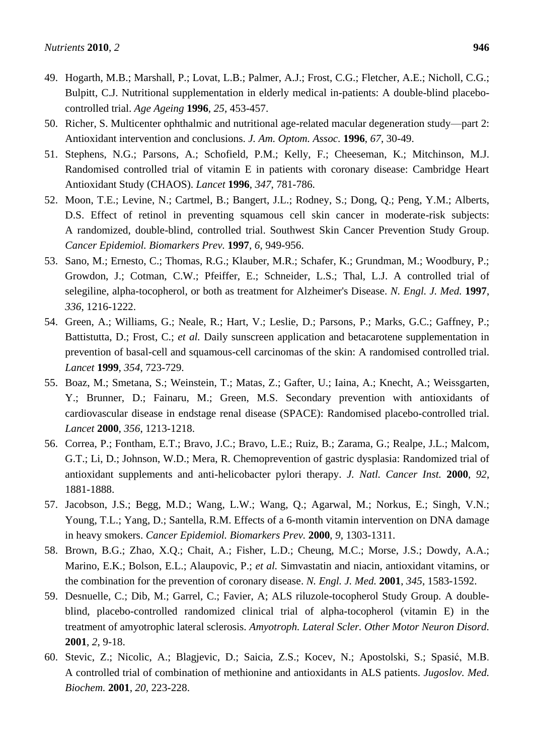- 49. Hogarth, M.B.; Marshall, P.; Lovat, L.B.; Palmer, A.J.; Frost, C.G.; Fletcher, A.E.; Nicholl, C.G.; Bulpitt, C.J. Nutritional supplementation in elderly medical in-patients: A double-blind placebocontrolled trial. *Age Ageing* **1996**, *25*, 453-457.
- 50. Richer, S. Multicenter ophthalmic and nutritional age-related macular degeneration study—part 2: Antioxidant intervention and conclusions. *J. Am. Optom. Assoc.* **1996**, *67*, 30-49.
- 51. Stephens, N.G.; Parsons, A.; Schofield, P.M.; Kelly, F.; Cheeseman, K.; Mitchinson, M.J. Randomised controlled trial of vitamin E in patients with coronary disease: Cambridge Heart Antioxidant Study (CHAOS). *Lancet* **1996**, *347*, 781-786.
- 52. Moon, T.E.; Levine, N.; Cartmel, B.; Bangert, J.L.; Rodney, S.; Dong, Q.; Peng, Y.M.; Alberts, D.S. Effect of retinol in preventing squamous cell skin cancer in moderate-risk subjects: A randomized, double-blind, controlled trial. Southwest Skin Cancer Prevention Study Group. *Cancer Epidemiol. Biomarkers Prev.* **1997**, *6*, 949-956.
- 53. Sano, M.; Ernesto, C.; Thomas, R.G.; Klauber, M.R.; Schafer, K.; Grundman, M.; Woodbury, P.; Growdon, J.; Cotman, C.W.; Pfeiffer, E.; Schneider, L.S.; Thal, L.J. A controlled trial of selegiline, alpha-tocopherol, or both as treatment for Alzheimer's Disease. *N. Engl. J. Med.* **1997**, *336*, 1216-1222.
- 54. Green, A.; Williams, G.; Neale, R.; Hart, V.; Leslie, D.; Parsons, P.; Marks, G.C.; Gaffney, P.; Battistutta, D.; Frost, C.; *et al.* Daily sunscreen application and betacarotene supplementation in prevention of basal-cell and squamous-cell carcinomas of the skin: A randomised controlled trial. *Lancet* **1999**, *354*, 723-729.
- 55. Boaz, M.; Smetana, S.; Weinstein, T.; Matas, Z.; Gafter, U.; Iaina, A.; Knecht, A.; Weissgarten, Y.; Brunner, D.; Fainaru, M.; Green, M.S. Secondary prevention with antioxidants of cardiovascular disease in endstage renal disease (SPACE): Randomised placebo-controlled trial. *Lancet* **2000**, *356*, 1213-1218.
- 56. Correa, P.; Fontham, E.T.; Bravo, J.C.; Bravo, L.E.; Ruiz, B.; Zarama, G.; Realpe, J.L.; Malcom, G.T.; Li, D.; Johnson, W.D.; Mera, R. Chemoprevention of gastric dysplasia: Randomized trial of antioxidant supplements and anti-helicobacter pylori therapy. *J. Natl. Cancer Inst.* **2000**, *92*, 1881-1888.
- 57. Jacobson, J.S.; Begg, M.D.; Wang, L.W.; Wang, Q.; Agarwal, M.; Norkus, E.; Singh, V.N.; Young, T.L.; Yang, D.; Santella, R.M. Effects of a 6-month vitamin intervention on DNA damage in heavy smokers. *Cancer Epidemiol. Biomarkers Prev.* **2000**, *9*, 1303-1311.
- 58. Brown, B.G.; Zhao, X.Q.; Chait, A.; Fisher, L.D.; Cheung, M.C.; Morse, J.S.; Dowdy, A.A.; Marino, E.K.; Bolson, E.L.; Alaupovic, P.; *et al.* Simvastatin and niacin, antioxidant vitamins, or the combination for the prevention of coronary disease. *N. Engl. J. Med.* **2001**, *345*, 1583-1592.
- 59. Desnuelle, C.; Dib, M.; Garrel, C.; Favier, A; ALS riluzole-tocopherol Study Group. A doubleblind, placebo-controlled randomized clinical trial of alpha-tocopherol (vitamin E) in the treatment of amyotrophic lateral sclerosis. *Amyotroph. Lateral Scler. Other Motor Neuron Disord.* **2001**, *2*, 9-18.
- 60. Stevic, Z.; Nicolic, A.; Blagjevic, D.; Saicia, Z.S.; Kocev, N.; Apostolski, S.; Spasić, M.B. A controlled trial of combination of methionine and antioxidants in ALS patients. *Jugoslov. Med. Biochem.* **2001**, *20*, 223-228.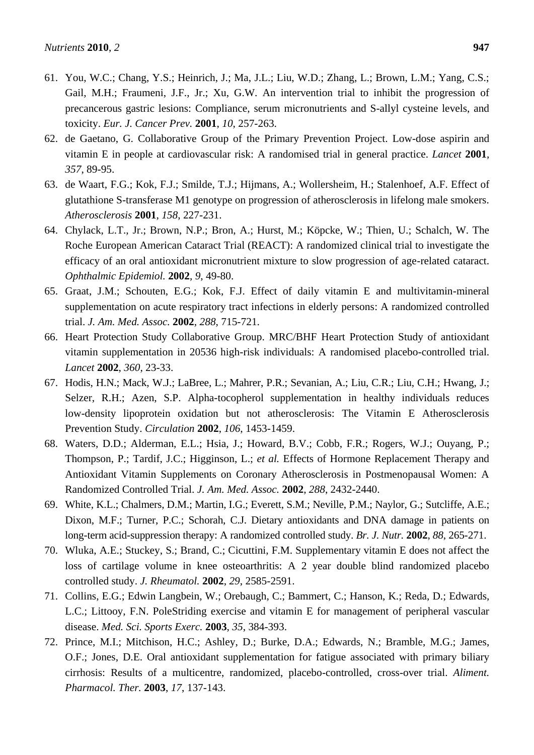- 61. You, W.C.; Chang, Y.S.; Heinrich, J.; Ma, J.L.; Liu, W.D.; Zhang, L.; Brown, L.M.; Yang, C.S.; Gail, M.H.; Fraumeni, J.F., Jr.; Xu, G.W. An intervention trial to inhibit the progression of precancerous gastric lesions: Compliance, serum micronutrients and S-allyl cysteine levels, and toxicity. *Eur. J. Cancer Prev.* **2001**, *10*, 257-263.
- 62. de Gaetano, G. Collaborative Group of the Primary Prevention Project. Low-dose aspirin and vitamin E in people at cardiovascular risk: A randomised trial in general practice. *Lancet* **2001**, *357*, 89-95.
- 63. de Waart, F.G.; Kok, F.J.; Smilde, T.J.; Hijmans, A.; Wollersheim, H.; Stalenhoef, A.F. Effect of glutathione S-transferase M1 genotype on progression of atherosclerosis in lifelong male smokers. *Atherosclerosis* **2001**, *158*, 227-231.
- 64. Chylack, L.T., Jr.; Brown, N.P.; Bron, A.; Hurst, M.; Köpcke, W.; Thien, U.; Schalch, W. The Roche European American Cataract Trial (REACT): A randomized clinical trial to investigate the efficacy of an oral antioxidant micronutrient mixture to slow progression of age-related cataract. *Ophthalmic Epidemiol.* **2002**, *9*, 49-80.
- 65. Graat, J.M.; Schouten, E.G.; Kok, F.J. Effect of daily vitamin E and multivitamin-mineral supplementation on acute respiratory tract infections in elderly persons: A randomized controlled trial. *J. Am. Med. Assoc.* **2002**, *288*, 715-721.
- 66. Heart Protection Study Collaborative Group. MRC/BHF Heart Protection Study of antioxidant vitamin supplementation in 20536 high-risk individuals: A randomised placebo-controlled trial. *Lancet* **2002**, *360*, 23-33.
- 67. Hodis, H.N.; Mack, W.J.; LaBree, L.; Mahrer, P.R.; Sevanian, A.; Liu, C.R.; Liu, C.H.; Hwang, J.; Selzer, R.H.; Azen, S.P. Alpha-tocopherol supplementation in healthy individuals reduces low-density lipoprotein oxidation but not atherosclerosis: The Vitamin E Atherosclerosis Prevention Study. *Circulation* **2002**, *106*, 1453-1459.
- 68. Waters, D.D.; Alderman, E.L.; Hsia, J.; Howard, B.V.; Cobb, F.R.; Rogers, W.J.; Ouyang, P.; Thompson, P.; Tardif, J.C.; Higginson, L.; *et al.* Effects of Hormone Replacement Therapy and Antioxidant Vitamin Supplements on Coronary Atherosclerosis in Postmenopausal Women: A Randomized Controlled Trial. *J. Am. Med. Assoc.* **2002**, *288*, 2432-2440.
- 69. White, K.L.; Chalmers, D.M.; Martin, I.G.; Everett, S.M.; Neville, P.M.; Naylor, G.; Sutcliffe, A.E.; Dixon, M.F.; Turner, P.C.; Schorah, C.J. Dietary antioxidants and DNA damage in patients on long-term acid-suppression therapy: A randomized controlled study. *Br. J. Nutr.* **2002**, *88*, 265-271.
- 70. Wluka, A.E.; Stuckey, S.; Brand, C.; Cicuttini, F.M. Supplementary vitamin E does not affect the loss of cartilage volume in knee osteoarthritis: A 2 year double blind randomized placebo controlled study. *J. Rheumatol.* **2002**, *29*, 2585-2591.
- 71. Collins, E.G.; Edwin Langbein, W.; Orebaugh, C.; Bammert, C.; Hanson, K.; Reda, D.; Edwards, L.C.; Littooy, F.N. PoleStriding exercise and vitamin E for management of peripheral vascular disease. *Med. Sci. Sports Exerc.* **2003**, *35*, 384-393.
- 72. Prince, M.I.; Mitchison, H.C.; Ashley, D.; Burke, D.A.; Edwards, N.; Bramble, M.G.; James, O.F.; Jones, D.E. Oral antioxidant supplementation for fatigue associated with primary biliary cirrhosis: Results of a multicentre, randomized, placebo-controlled, cross-over trial. *Aliment. Pharmacol. Ther.* **2003**, *17*, 137-143.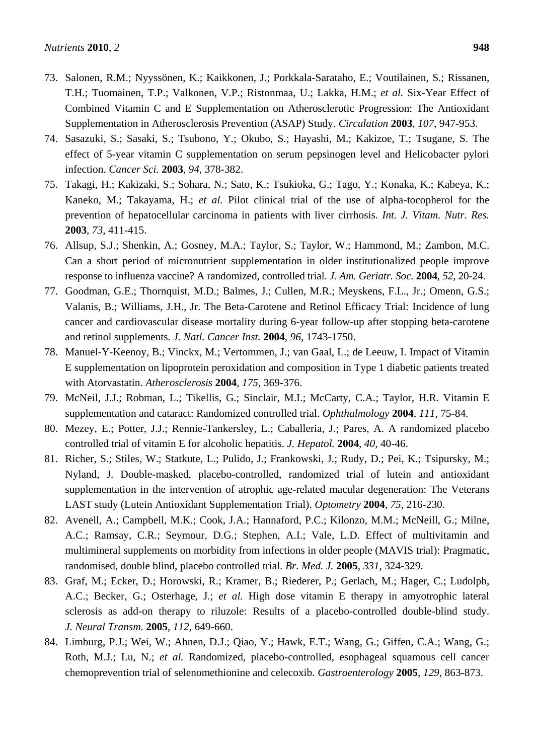- 73. Salonen, R.M.; Nyyssönen, K.; Kaikkonen, J.; Porkkala-Sarataho, E.; Voutilainen, S.; Rissanen, T.H.; Tuomainen, T.P.; Valkonen, V.P.; Ristonmaa, U.; Lakka, H.M.; *et al.* Six-Year Effect of Combined Vitamin C and E Supplementation on Atherosclerotic Progression: The Antioxidant Supplementation in Atherosclerosis Prevention (ASAP) Study. *Circulation* **2003**, *107*, 947-953.
- 74. Sasazuki, S.; Sasaki, S.; Tsubono, Y.; Okubo, S.; Hayashi, M.; Kakizoe, T.; Tsugane, S. The effect of 5-year vitamin C supplementation on serum pepsinogen level and Helicobacter pylori infection. *Cancer Sci.* **2003**, *94*, 378-382.
- 75. Takagi, H.; Kakizaki, S.; Sohara, N.; Sato, K.; Tsukioka, G.; Tago, Y.; Konaka, K.; Kabeya, K.; Kaneko, M.; Takayama, H.; *et al.* Pilot clinical trial of the use of alpha-tocopherol for the prevention of hepatocellular carcinoma in patients with liver cirrhosis. *Int. J. Vitam. Nutr. Res.* **2003**, *73*, 411-415.
- 76. Allsup, S.J.; Shenkin, A.; Gosney, M.A.; Taylor, S.; Taylor, W.; Hammond, M.; Zambon, M.C. Can a short period of micronutrient supplementation in older institutionalized people improve response to influenza vaccine? A randomized, controlled trial. *J. Am. Geriatr. Soc.* **2004**, *52*, 20-24.
- 77. Goodman, G.E.; Thornquist, M.D.; Balmes, J.; Cullen, M.R.; Meyskens, F.L., Jr.; Omenn, G.S.; Valanis, B.; Williams, J.H., Jr. The Beta-Carotene and Retinol Efficacy Trial: Incidence of lung cancer and cardiovascular disease mortality during 6-year follow-up after stopping beta-carotene and retinol supplements. *J. Natl. Cancer Inst.* **2004**, *96*, 1743-1750.
- 78. Manuel-Y-Keenoy, B.; Vinckx, M.; Vertommen, J.; van Gaal, L.; de Leeuw, I. Impact of Vitamin E supplementation on lipoprotein peroxidation and composition in Type 1 diabetic patients treated with Atorvastatin. *Atherosclerosis* **2004**, *175*, 369-376.
- 79. McNeil, J.J.; Robman, L.; Tikellis, G.; Sinclair, M.I.; McCarty, C.A.; Taylor, H.R. Vitamin E supplementation and cataract: Randomized controlled trial. *Ophthalmology* **2004**, *111*, 75-84.
- 80. Mezey, E.; Potter, J.J.; Rennie-Tankersley, L.; Caballeria, J.; Pares, A. A randomized placebo controlled trial of vitamin E for alcoholic hepatitis. *J. Hepatol.* **2004**, *40*, 40-46.
- 81. Richer, S.; Stiles, W.; Statkute, L.; Pulido, J.; Frankowski, J.; Rudy, D.; Pei, K.; Tsipursky, M.; Nyland, J. Double-masked, placebo-controlled, randomized trial of lutein and antioxidant supplementation in the intervention of atrophic age-related macular degeneration: The Veterans LAST study (Lutein Antioxidant Supplementation Trial). *Optometry* **2004**, *75*, 216-230.
- 82. Avenell, A.; Campbell, M.K.; Cook, J.A.; Hannaford, P.C.; Kilonzo, M.M.; McNeill, G.; Milne, A.C.; Ramsay, C.R.; Seymour, D.G.; Stephen, A.I.; Vale, L.D. Effect of multivitamin and multimineral supplements on morbidity from infections in older people (MAVIS trial): Pragmatic, randomised, double blind, placebo controlled trial. *Br. Med. J.* **2005**, *331*, 324-329.
- 83. Graf, M.; Ecker, D.; Horowski, R.; Kramer, B.; Riederer, P.; Gerlach, M.; Hager, C.; Ludolph, A.C.; Becker, G.; Osterhage, J.; *et al.* High dose vitamin E therapy in amyotrophic lateral sclerosis as add-on therapy to riluzole: Results of a placebo-controlled double-blind study. *J. Neural Transm.* **2005**, *112*, 649-660.
- 84. Limburg, P.J.; Wei, W.; Ahnen, D.J.; Qiao, Y.; Hawk, E.T.; Wang, G.; Giffen, C.A.; Wang, G.; Roth, M.J.; Lu, N.; *et al.* Randomized, placebo-controlled, esophageal squamous cell cancer chemoprevention trial of selenomethionine and celecoxib. *Gastroenterology* **2005**, *129*, 863-873.